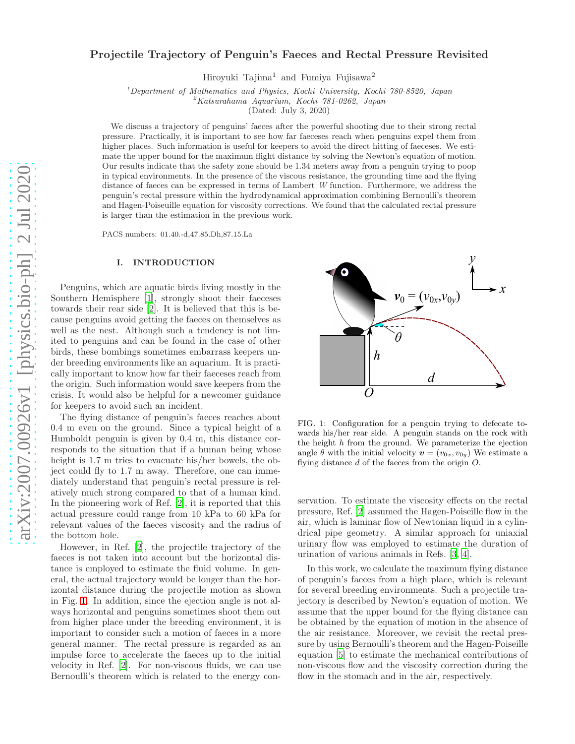# arXiv:2007.00926v1 [physics.bio-ph] 2 Jul 2020 [arXiv:2007.00926v1 \[physics.bio-ph\] 2 Jul 2020](http://arxiv.org/abs/2007.00926v1)

# Projectile Trajectory of Penguin's Faeces and Rectal Pressure Revisited

Hiroyuki Tajima<sup>1</sup> and Fumiya Fujisawa<sup>2</sup>

<sup>1</sup>*Department of Mathematics and Physics, Kochi University, Kochi 780-8520, Japan*

<sup>2</sup>*Katsurahama Aquarium, Kochi 781-0262, Japan*

(Dated: July 3, 2020)

We discuss a trajectory of penguins' faeces after the powerful shooting due to their strong rectal pressure. Practically, it is important to see how far faeceses reach when penguins expel them from higher places. Such information is useful for keepers to avoid the direct hitting of faeceses. We estimate the upper bound for the maximum flight distance by solving the Newton's equation of motion. Our results indicate that the safety zone should be 1.34 meters away from a penguin trying to poop in typical environments. In the presence of the viscous resistance, the grounding time and the flying distance of faeces can be expressed in terms of Lambert *W* function. Furthermore, we address the penguin's rectal pressure within the hydrodynamical approximation combining Bernoulli's theorem and Hagen-Poiseuille equation for viscosity corrections. We found that the calculated rectal pressure is larger than the estimation in the previous work.

PACS numbers: 01.40.-d,47.85.Dh,87.15.La

### I. INTRODUCTION

Penguins, which are aquatic birds living mostly in the Southern Hemisphere [\[1](#page-4-0)], strongly shoot their faeceses towards their rear side [\[2\]](#page-4-1). It is believed that this is because penguins avoid getting the faeces on themselves as well as the nest. Although such a tendency is not limited to penguins and can be found in the case of other birds, these bombings sometimes embarrass keepers under breeding environments like an aquarium. It is practically important to know how far their faeceses reach from the origin. Such information would save keepers from the crisis. It would also be helpful for a newcomer guidance for keepers to avoid such an incident.

The flying distance of penguin's faeces reaches about 0.4 m even on the ground. Since a typical height of a Humboldt penguin is given by 0.4 m, this distance corresponds to the situation that if a human being whose height is 1.7 m tries to evacuate his/her bowels, the object could fly to 1.7 m away. Therefore, one can immediately understand that penguin's rectal pressure is relatively much strong compared to that of a human kind. In the pioneering work of Ref. [\[2](#page-4-1)], it is reported that this actual pressure could range from 10 kPa to 60 kPa for relevant values of the faeces viscosity and the radius of the bottom hole.

However, in Ref. [\[2](#page-4-1)], the projectile trajectory of the faeces is not taken into account but the horizontal distance is employed to estimate the fluid volume. In general, the actual trajectory would be longer than the horizontal distance during the projectile motion as shown in Fig. [1.](#page-0-0) In addition, since the ejection angle is not always horizontal and penguins sometimes shoot them out from higher place under the breeding environment, it is important to consider such a motion of faeces in a more general manner. The rectal pressure is regarded as an impulse force to accelerate the faeces up to the initial velocity in Ref. [\[2\]](#page-4-1). For non-viscous fluids, we can use Bernoulli's theorem which is related to the energy con-



<span id="page-0-0"></span>FIG. 1: Configuration for a penguin trying to defecate towards his/her rear side. A penguin stands on the rock with the height  $h$  from the ground. We parameterize the ejection angle  $\theta$  with the initial velocity  $\mathbf{v} = (v_{0x}, v_{0y})$  We estimate a flying distance  $d$  of the faeces from the origin  $O$ .

servation. To estimate the viscosity effects on the rectal pressure, Ref. [\[2](#page-4-1)] assumed the Hagen-Poiseille flow in the air, which is laminar flow of Newtonian liquid in a cylindrical pipe geometry. A similar approach for uniaxial urinary flow was employed to estimate the duration of urination of various animals in Refs. [\[3](#page-5-0), [4\]](#page-5-1).

In this work, we calculate the maximum flying distance of penguin's faeces from a high place, which is relevant for several breeding environments. Such a projectile trajectory is described by Newton's equation of motion. We assume that the upper bound for the flying distance can be obtained by the equation of motion in the absence of the air resistance. Moreover, we revisit the rectal pressure by using Bernoulli's theorem and the Hagen-Poiseille equation [\[5\]](#page-5-2) to estimate the mechanical contributions of non-viscous flow and the viscosity correction during the flow in the stomach and in the air, respectively.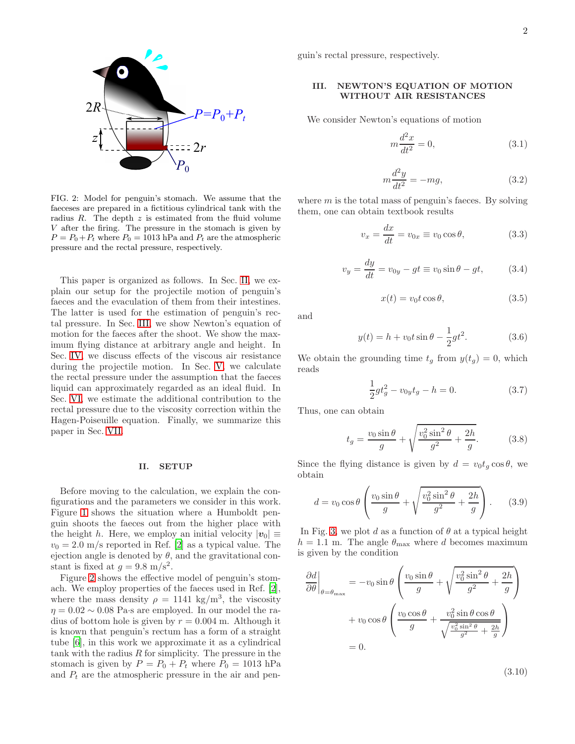

<span id="page-1-2"></span>FIG. 2: Model for penguin's stomach. We assume that the faeceses are prepared in a fictitious cylindrical tank with the radius  $R$ . The depth  $z$  is estimated from the fluid volume V after the firing. The pressure in the stomach is given by  $P = P_0 + P_t$  where  $P_0 = 1013$  hPa and  $P_t$  are the atmospheric pressure and the rectal pressure, respectively.

This paper is organized as follows. In Sec. [II,](#page-1-0) we explain our setup for the projectile motion of penguin's faeces and the evaculation of them from their intestines. The latter is used for the estimation of penguin's rectal pressure. In Sec. [III,](#page-1-1) we show Newton's equation of motion for the faeces after the shoot. We show the maximum flying distance at arbitrary angle and height. In Sec. [IV,](#page-2-0) we discuss effects of the viscous air resistance during the projectile motion. In Sec. [V,](#page-3-0) we calculate the rectal pressure under the assumption that the faeces liquid can approximately regarded as an ideal fluid. In Sec. [VI,](#page-3-1) we estimate the additional contribution to the rectal pressure due to the viscosity correction within the Hagen-Poiseuille equation. Finally, we summarize this paper in Sec. [VII.](#page-4-2)

### <span id="page-1-0"></span>II. SETUP

Before moving to the calculation, we explain the configurations and the parameters we consider in this work. Figure [1](#page-0-0) shows the situation where a Humboldt penguin shoots the faeces out from the higher place with the height h. Here, we employ an initial velocity  $|v_0| \equiv$  $v_0 = 2.0$  m/s reported in Ref. [\[2](#page-4-1)] as a typical value. The ejection angle is denoted by  $\theta$ , and the gravitational constant is fixed at  $g = 9.8 \text{ m/s}^2$ .

Figure [2](#page-1-2) shows the effective model of penguin's stomach. We employ properties of the faeces used in Ref. [\[2\]](#page-4-1), where the mass density  $\rho = 1141 \text{ kg/m}^3$ , the viscosity  $\eta = 0.02 \sim 0.08$  Pa·s are employed. In our model the radius of bottom hole is given by  $r = 0.004$  m. Although it is known that penguin's rectum has a form of a straight tube [\[6\]](#page-5-3), in this work we approximate it as a cylindrical tank with the radius  $R$  for simplicity. The pressure in the stomach is given by  $P = P_0 + P_t$  where  $P_0 = 1013$  hPa and  $P_t$  are the atmospheric pressure in the air and penguin's rectal pressure, respectively.

# <span id="page-1-1"></span>III. NEWTON'S EQUATION OF MOTION WITHOUT AIR RESISTANCES

We consider Newton's equations of motion

$$
m\frac{d^2x}{dt^2} = 0,\t\t(3.1)
$$

$$
m\frac{d^2y}{dt^2} = -mg,\t\t(3.2)
$$

where  $m$  is the total mass of penguin's faeces. By solving them, one can obtain textbook results

$$
v_x = \frac{dx}{dt} = v_{0x} \equiv v_0 \cos \theta, \qquad (3.3)
$$

$$
v_y = \frac{dy}{dt} = v_{0y} - gt \equiv v_0 \sin \theta - gt,\tag{3.4}
$$

$$
x(t) = v_0 t \cos \theta, \tag{3.5}
$$

and

$$
y(t) = h + v_0 t \sin \theta - \frac{1}{2}gt^2.
$$
 (3.6)

We obtain the grounding time  $t_g$  from  $y(t_g) = 0$ , which reads

$$
\frac{1}{2}gt_g^2 - v_{0y}t_g - h = 0.
$$
\n(3.7)

Thus, one can obtain

$$
t_g = \frac{v_0 \sin \theta}{g} + \sqrt{\frac{v_0^2 \sin^2 \theta}{g^2} + \frac{2h}{g}}.
$$
 (3.8)

Since the flying distance is given by  $d = v_0 t_g \cos \theta$ , we obtain

$$
d = v_0 \cos \theta \left( \frac{v_0 \sin \theta}{g} + \sqrt{\frac{v_0^2 \sin^2 \theta}{g^2} + \frac{2h}{g}} \right). \tag{3.9}
$$

In Fig. [3,](#page-2-1) we plot d as a function of  $\theta$  at a typical height  $h = 1.1$  m. The angle  $\theta_{\text{max}}$  where d becomes maximum is given by the condition

$$
\frac{\partial d}{\partial \theta}\Big|_{\theta=\theta_{\text{max}}} = -v_0 \sin \theta \left( \frac{v_0 \sin \theta}{g} + \sqrt{\frac{v_0^2 \sin^2 \theta}{g^2} + \frac{2h}{g}} \right) \n+ v_0 \cos \theta \left( \frac{v_0 \cos \theta}{g} + \frac{v_0^2 \sin \theta \cos \theta}{\sqrt{\frac{v_0^2 \sin^2 \theta}{g^2} + \frac{2h}{g}}} \right) \n= 0.
$$

<span id="page-1-3"></span>(3.10)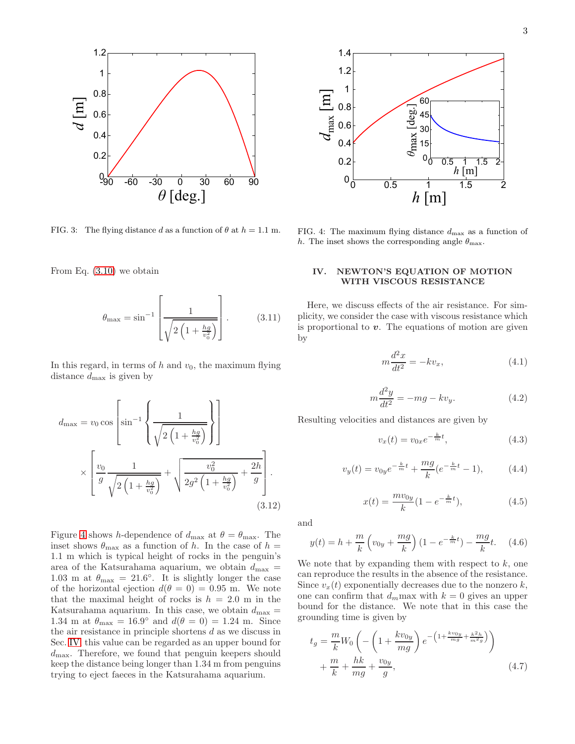

<span id="page-2-1"></span>FIG. 3: The flying distance d as a function of  $\theta$  at  $h = 1.1$  m.

From Eq. [\(3.10\)](#page-1-3) we obtain

$$
\theta_{\text{max}} = \sin^{-1} \left[ \frac{1}{\sqrt{2 \left( 1 + \frac{hg}{v_0^2} \right)}} \right].
$$
 (3.11)

In this regard, in terms of  $h$  and  $v_0$ , the maximum flying distance  $d_{\text{max}}$  is given by

$$
d_{\max} = v_0 \cos \left[ \sin^{-1} \left\{ \frac{1}{\sqrt{2 \left( 1 + \frac{hg}{v_0^2} \right)}} \right\} \right]
$$
  
 
$$
\times \left[ \frac{v_0}{g} \frac{1}{\sqrt{2 \left( 1 + \frac{hg}{v_0^2} \right)}} + \sqrt{\frac{v_0^2}{2g^2 \left( 1 + \frac{hg}{v_0^2} \right)}} + \frac{2h}{g} \right].
$$
  
(3.12)

Figure [4](#page-2-2) shows h-dependence of  $d_{\text{max}}$  at  $\theta = \theta_{\text{max}}$ . The inset shows  $\theta_{\text{max}}$  as a function of h. In the case of  $h =$ 1.1 m which is typical height of rocks in the penguin's area of the Katsurahama aquarium, we obtain  $d_{\text{max}} =$ 1.03 m at  $\theta_{\text{max}} = 21.6^{\circ}$ . It is slightly longer the case of the horizontal ejection  $d(\theta = 0) = 0.95$  m. We note that the maximal height of rocks is  $h = 2.0$  m in the Katsurahama aquarium. In this case, we obtain  $d_{\text{max}} =$ 1.34 m at  $\theta_{\text{max}} = 16.9^{\circ}$  and  $d(\theta = 0) = 1.24$  m. Since the air resistance in principle shortens d as we discuss in Sec. [IV,](#page-2-0) this value can be regarded as an upper bound for  $d_{\text{max}}$ . Therefore, we found that penguin keepers should keep the distance being longer than 1.34 m from penguins trying to eject faeces in the Katsurahama aquarium.



<span id="page-2-2"></span>FIG. 4: The maximum flying distance  $d_{\text{max}}$  as a function of h. The inset shows the corresponding angle  $\theta_{\text{max}}$ .

# <span id="page-2-0"></span>IV. NEWTON'S EQUATION OF MOTION WITH VISCOUS RESISTANCE

Here, we discuss effects of the air resistance. For simplicity, we consider the case with viscous resistance which is proportional to  $v$ . The equations of motion are given by

$$
m\frac{d^2x}{dt^2} = -kv_x,\t\t(4.1)
$$

$$
m\frac{d^2y}{dt^2} = -mg - kv_y.
$$
\n(4.2)

Resulting velocities and distances are given by

$$
v_x(t) = v_{0x}e^{-\frac{k}{m}t},
$$
\n(4.3)

$$
v_y(t) = v_{0y}e^{-\frac{k}{m}t} + \frac{mg}{k}(e^{-\frac{k}{m}t} - 1),
$$
 (4.4)

$$
x(t) = \frac{mv_{0y}}{k} (1 - e^{-\frac{k}{m}t}),
$$
\n(4.5)

and

$$
y(t) = h + \frac{m}{k} \left( v_{0y} + \frac{mg}{k} \right) (1 - e^{-\frac{k}{m}t}) - \frac{mg}{k}t. \tag{4.6}
$$

We note that by expanding them with respect to  $k$ , one can reproduce the results in the absence of the resistance. Since  $v_x(t)$  exponentially decreases due to the nonzero k, one can confirm that  $d_m$  max with  $k = 0$  gives an upper bound for the distance. We note that in this case the grounding time is given by

$$
t_g = \frac{m}{k} W_0 \left( -\left( 1 + \frac{k v_{0y}}{mg} \right) e^{-\left( 1 + \frac{k v_{0y}}{mg} + \frac{k^2 h}{m^2 g} \right)} \right) + \frac{m}{k} + \frac{hk}{mg} + \frac{v_{0y}}{g},
$$
\n(4.7)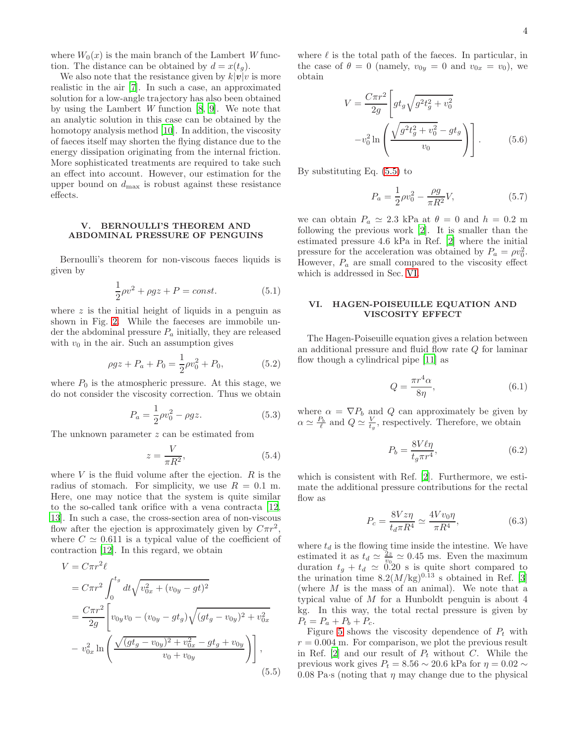where  $W_0(x)$  is the main branch of the Lambert W function. The distance can be obtained by  $d = x(t_q)$ .

We also note that the resistance given by  $k|\mathbf{v}|$  is more realistic in the air [\[7\]](#page-5-4). In such a case, an approximated solution for a low-angle trajectory has also been obtained by using the Lambert  $W$  function  $[8, 9]$  $[8, 9]$ . We note that an analytic solution in this case can be obtained by the homotopy analysis method [\[10\]](#page-5-7). In addition, the viscosity of faeces itself may shorten the flying distance due to the energy dissipation originating from the internal friction. More sophisticated treatments are required to take such an effect into account. However, our estimation for the upper bound on  $d_{\text{max}}$  is robust against these resistance effects.

# <span id="page-3-0"></span>V. BERNOULLI'S THEOREM AND ABDOMINAL PRESSURE OF PENGUINS

Bernoulli's theorem for non-viscous faeces liquids is given by

$$
\frac{1}{2}\rho v^2 + \rho gz + P = const.
$$
\n(5.1)

where  $z$  is the initial height of liquids in a penguin as shown in Fig. [2.](#page-1-2) While the faeceses are immobile under the abdominal pressure  $P_a$  initially, they are released with  $v_0$  in the air. Such an assumption gives

$$
\rho gz + P_a + P_0 = \frac{1}{2}\rho v_0^2 + P_0, \tag{5.2}
$$

where  $P_0$  is the atmospheric pressure. At this stage, we do not consider the viscosity correction. Thus we obtain

$$
P_a = \frac{1}{2}\rho v_0^2 - \rho gz. \tag{5.3}
$$

The unknown parameter z can be estimated from

$$
z = \frac{V}{\pi R^2},\tag{5.4}
$$

where  $V$  is the fluid volume after the ejection.  $R$  is the radius of stomach. For simplicity, we use  $R = 0.1$  m. Here, one may notice that the system is quite similar to the so-called tank orifice with a vena contracta [\[12](#page-5-8), [13\]](#page-5-9). In such a case, the cross-section area of non-viscous flow after the ejection is approximately given by  $C\pi r^2$ , where  $C \simeq 0.611$  is a typical value of the coefficient of contraction [\[12](#page-5-8)]. In this regard, we obtain

$$
V = C\pi r^2 \ell
$$
  
=  $C\pi r^2 \int_0^{t_g} dt \sqrt{v_{0x}^2 + (v_{0y} - gt)^2}$   
=  $\frac{C\pi r^2}{2g} \left[ v_{0y}v_0 - (v_{0y} - gt_g) \sqrt{(gt_g - v_{0y})^2 + v_{0x}^2} - v_{0x}^2 \ln \left( \frac{\sqrt{(gt_g - v_{0y})^2 + v_{0x}^2} - gt_g + v_{0y}}{v_0 + v_{0y}} \right) \right],$   
(5.5)

where  $\ell$  is the total path of the faeces. In particular, in the case of  $\theta = 0$  (namely,  $v_{0y} = 0$  and  $v_{0x} = v_0$ ), we obtain

$$
V = \frac{C\pi r^2}{2g} \left[ gt_g \sqrt{g^2 t_g^2 + v_0^2} - v_0^2 \ln \left( \frac{\sqrt{g^2 t_g^2 + v_0^2} - gt_g}{v_0} \right) \right].
$$
 (5.6)

By substituting Eq. [\(5.5\)](#page-3-2) to

$$
P_a = \frac{1}{2}\rho v_0^2 - \frac{\rho g}{\pi R^2} V,\tag{5.7}
$$

we can obtain  $P_a \simeq 2.3$  kPa at  $\theta = 0$  and  $h = 0.2$  m following the previous work [\[2](#page-4-1)]. It is smaller than the estimated pressure 4.6 kPa in Ref. [\[2](#page-4-1)] where the initial pressure for the acceleration was obtained by  $P_a = \rho v_0^2$ . However,  $P_a$  are small compared to the viscosity effect which is addressed in Sec. [VI.](#page-3-1)

# <span id="page-3-1"></span>VI. HAGEN-POISEUILLE EQUATION AND VISCOSITY EFFECT

The Hagen-Poiseuille equation gives a relation between an additional pressure and fluid flow rate Q for laminar flow though a cylindrical pipe [\[11\]](#page-5-10) as

$$
Q = \frac{\pi r^4 \alpha}{8\eta},\tag{6.1}
$$

where  $\alpha = \nabla P_b$  and Q can approximately be given by  $\alpha \simeq \frac{P_b}{\ell}$  and  $Q \simeq \frac{V}{t_g}$ , respectively. Therefore, we obtain

$$
P_b = \frac{8V\ell\eta}{t_g\pi r^4},\tag{6.2}
$$

which is consistent with Ref. [\[2\]](#page-4-1). Furthermore, we estimate the additional pressure contributions for the rectal flow as

$$
P_c = \frac{8Vz\eta}{t_d\pi R^4} \simeq \frac{4Vv_0\eta}{\pi R^4},\tag{6.3}
$$

where  $t_d$  is the flowing time inside the intestine. We have estimated it as  $t_d \simeq \frac{2z}{v_0} \simeq 0.45$  ms. Even the maximum duration  $t_g + t_d \simeq 0.20$  s is quite short compared to the urination time  $8.2(M/kg)^{0.13}$  s obtained in Ref. [\[3](#page-5-0)] (where  $M$  is the mass of an animal). We note that a typical value of M for a Hunboldt penguin is about 4 kg. In this way, the total rectal pressure is given by  $P_t = P_a + P_b + P_c.$ 

<span id="page-3-2"></span>Figure [5](#page-4-3) shows the viscosity dependence of  $P_t$  with  $r = 0.004$  m. For comparison, we plot the previous result in Ref. [\[2\]](#page-4-1) and our result of  $P_t$  without C. While the previous work gives  $P_t = 8.56 \sim 20.6$  kPa for  $\eta = 0.02 \sim$ 0.08 Pa·s (noting that  $\eta$  may change due to the physical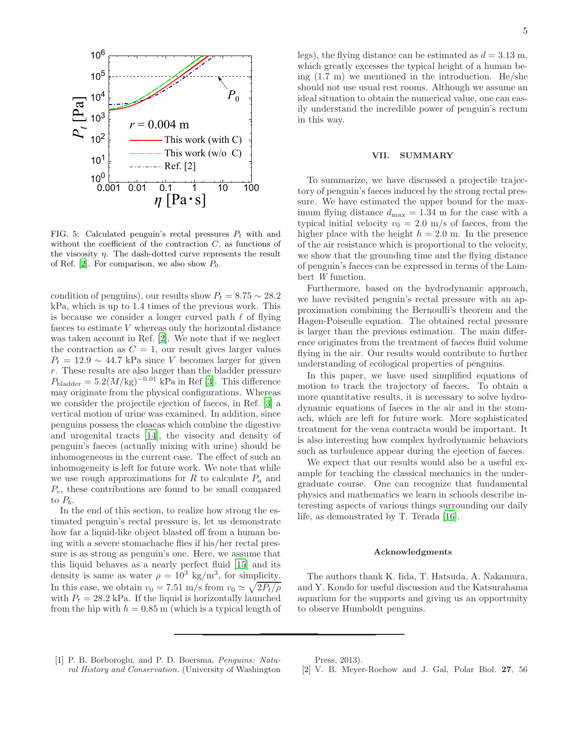

<span id="page-4-3"></span>FIG. 5: Calculated penguin's rectal pressures  $P_t$  with and without the coefficient of the contraction  $C$ , as functions of the viscosity  $\eta$ . The dash-dotted curve represents the result of Ref. [\[2\]](#page-4-1). For comparison, we also show  $P_0$ .

condition of penguins), our results show  $P_t = 8.75 \sim 28.2$ kPa, which is up to 1.4 times of the previous work. This is because we consider a longer curved path  $\ell$  of flying faeces to estimate V whereas only the horizontal distance was taken account in Ref. [\[2\]](#page-4-1). We note that if we neglect the contraction as  $C = 1$ , our result gives larger values  $P_t = 12.9 \sim 44.7$  kPa since V becomes larger for given r. These results are also larger than the bladder pressure  $P_{\text{bladder}} = 5.2(M/\text{kg})^{-0.01}$  kPa in Ref [\[3\]](#page-5-0). This difference may originate from the physical configurations. Whereas we consider the projectile ejection of faeces, in Ref. [\[3\]](#page-5-0) a vertical motion of urine was examined. In addition, since penguins possess the cloacas which combine the digestive and urogenital tracts [\[14](#page-5-11)], the visocity and density of penguin's faeces (actually mixing with urine) should be inhomogeneous in the current case. The effect of such an inhomogeneity is left for future work. We note that while we use rough approximations for R to calculate  $P_a$  and  $P_c$ , these contributions are found to be small compared to  $P_b$ .

In the end of this section, to realize how strong the estimated penguin's rectal pressure is, let us demonstrate how far a liquid-like object blasted off from a human being with a severe stomachache flies if his/her rectal pressure is as strong as penguin's one. Here, we assume that this liquid behaves as a nearly perfect fluid [\[15\]](#page-5-12) and its density is same as water  $\rho = 10^3 \text{ kg/m}^3$ , for simplicity. In this case, we obtain  $v_0 = 7.51$  m/s from  $v_0 \simeq \sqrt{2P_t/\rho}$ with  $P_t = 28.2$  kPa. If the liquid is horizontally launched from the hip with  $h = 0.85$  m (which is a typical length of legs), the flying distance can be estimated as  $d = 3.13$  m, which greatly excesses the typical height of a human being (1.7 m) we mentioned in the introduction. He/she should not use usual rest rooms. Although we assume an ideal situation to obtain the numerical value, one can easily understand the incredible power of penguin's rectum in this way.

### <span id="page-4-2"></span>VII. SUMMARY

To summarize, we have discussed a projectile trajectory of penguin's faeces induced by the strong rectal pressure. We have estimated the upper bound for the maximum flying distance  $d_{\text{max}} = 1.34$  m for the case with a typical initial velocity  $v_0 = 2.0$  m/s of faeces, from the higher place with the height  $h = 2.0$  m. In the presence of the air resistance which is proportional to the velocity, we show that the grounding time and the flying distance of penguin's faeces can be expressed in terms of the Lambert *W* function.

Furthermore, based on the hydrodynamic approach, we have revisited penguin's rectal pressure with an approximation combining the Bernoulli's theorem and the Hagen-Poiseulle equation. The obtained rectal pressure is larger than the previous estimation. The main difference originates from the treatment of faeces fluid volume flying in the air. Our results would contribute to further understanding of ecological properties of penguins.

In this paper, we have used simplified equations of motion to track the trajectory of faeces. To obtain a more quantitative results, it is necessary to solve hydrodynamic equations of faeces in the air and in the stomach, which are left for future work. More sophisticated treatment for the vena contracta would be important. It is also interesting how complex hydrodynamic behaviors such as turbulence appear during the ejection of faeces.

We expect that our results would also be a useful example for teaching the classical mechanics in the undergraduate course. One can recognize that fundamental physics and mathematics we learn in schools describe interesting aspects of various things surrounding our daily life, as demonstrated by T. Terada [\[16](#page-5-13)].

### Acknowledgments

The authors thank K. Iida, T. Hatsuda, A. Nakamura, and Y. Kondo for useful discussion and the Katsurahama aquarium for the supports and giving us an opportunity to observe Humboldt penguins.

<span id="page-4-0"></span>[1] P. B. Borboroglu, and P. D. Boersma, *Penguins: Natural History and Conservation.* (University of Washington Press, 2013).

<span id="page-4-1"></span>[2] V. B. Meyer-Rochow and J. Gal, Polar Biol. 27, 56